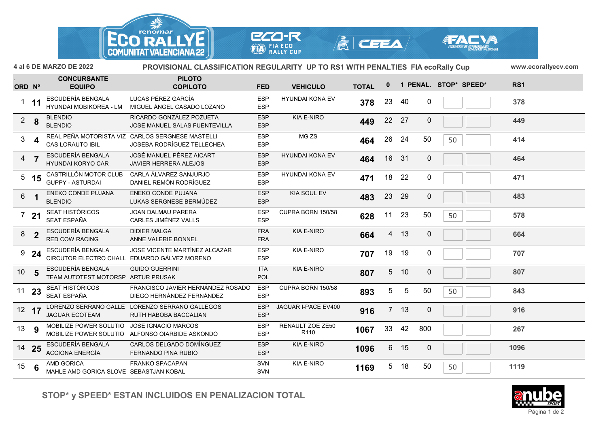

 $|\tilde{\mathbb{A}}|$  ceea

**ECO-R** 

**FIA ECO<br>RALLY CUP** 

|                 |                | 4 al 6 DE MARZO DE 2022                                     | <b>PROVISIONAL CLASSIFICATION REGULARITY UP TO RS1 WITH PENALTIES FIA ecoRally Cup</b> |                          |                                      |              |              |                 |             | www.ecorallyecv.com   |      |
|-----------------|----------------|-------------------------------------------------------------|----------------------------------------------------------------------------------------|--------------------------|--------------------------------------|--------------|--------------|-----------------|-------------|-----------------------|------|
| ORD Nº          |                | <b>CONCURSANTE</b><br><b>EQUIPO</b>                         | <b>PILOTO</b><br><b>COPILOTO</b>                                                       | <b>FED</b>               | <b>VEHICULO</b>                      | <b>TOTAL</b> | $\mathbf{0}$ |                 |             | 1 PENAL. STOP* SPEED* | RS1  |
|                 | $1$ 11         | ESCUDERÍA BENGALA<br>HYUNDAI MOBIKOREA - LM                 | LUCAS PÉREZ GARCÍA<br>MIGUEL ÁNGEL CASADO LOZANO                                       | <b>ESP</b><br><b>ESP</b> | <b>HYUNDAI KONA EV</b>               | 378          | 23           | 40              | 0           |                       | 378  |
|                 | $2 \quad 8$    | <b>BLENDIO</b><br><b>BLENDIO</b>                            | RICARDO GONZÁLEZ POZUETA<br>JOSE MANUEL SALAS FUENTEVILLA                              | <b>ESP</b><br><b>ESP</b> | <b>KIA E-NIRO</b>                    | 449          | 22 27        |                 | $\mathbf 0$ |                       | 449  |
|                 | $3 \quad 4$    | <b>CAS LORAUTO IBIL</b>                                     | REAL PEÑA MOTORISTA VIZ CARLOS SERGNESE MASTELLI<br>JOSEBA RODRÍGUEZ TELLECHEA         | <b>ESP</b><br><b>ESP</b> | MG ZS                                | 464          | 26           | 24              | 50          | 50                    | 414  |
| $\overline{4}$  |                | ESCUDERÍA BENGALA<br>HYUNDAI KORYO CAR                      | JOSÉ MANUEL PÉREZ AICART<br>JAVIER HERRERA ALEJOS                                      | <b>ESP</b><br><b>ESP</b> | <b>HYUNDAI KONA EV</b>               | 464          | 16           | 31              | $\mathbf 0$ |                       | 464  |
|                 | $5$ 15         | CASTRILLÓN MOTOR CLUB<br><b>GUPPY - ASTURDAI</b>            | CARLA ÁLVAREZ SANJURJO<br>DANIEL REMÓN RODRÍGUEZ                                       | <b>ESP</b><br><b>ESP</b> | <b>HYUNDAI KONA EV</b>               | 471          | 18           | 22              | 0           |                       | 471  |
| $6\overline{6}$ |                | ENEKO CONDE PUJANA<br><b>BLENDIO</b>                        | ENEKO CONDE PUJANA<br>LUKAS SERGNESE BERMÚDEZ                                          | <b>ESP</b><br><b>ESP</b> | KIA SOUL EV                          | 483          | 23           | 29              | $\mathbf 0$ |                       | 483  |
|                 | 721            | SEAT HISTÓRICOS<br>SEAT ESPAÑA                              | JOAN DALMAU PARERA<br>CARLES JIMÈNEZ VALLS                                             | <b>ESP</b><br><b>ESP</b> | CUPRA BORN 150/58                    | 628          | 11           | 23              | 50          | 50                    | 578  |
|                 | 8 <sub>2</sub> | ESCUDERÍA BENGALA<br><b>RED COW RACING</b>                  | <b>DIDIER MALGA</b><br>ANNE VALERIE BONNEL                                             | <b>FRA</b><br><b>FRA</b> | <b>KIA E-NIRO</b>                    | 664          | 4            | 13              | 0           |                       | 664  |
|                 | $9$ 24         | ESCUDERÍA BENGALA                                           | JOSE VICENTE MARTÍNEZ ALCAZAR<br>CIRCUTOR ELECTRO CHALL EDUARDO GÁLVEZ MORENO          | <b>ESP</b><br><b>ESP</b> | <b>KIA E-NIRO</b>                    | 707          | 19           | 19              | 0           |                       | 707  |
| 10 <sub>5</sub> |                | ESCUDERÍA BENGALA<br>TEAM AUTOTEST MOTORSP ARTUR PRUSAK     | <b>GUIDO GUERRINI</b>                                                                  | <b>ITA</b><br>POL        | <b>KIA E-NIRO</b>                    | 807          |              | 5 10            | $\mathbf 0$ |                       | 807  |
| $11$ 23         |                | SEAT HISTÓRICOS<br>SEAT ESPAÑA                              | FRANCISCO JAVIER HERNÁNDEZ ROSADO<br>DIEGO HERNÁNDEZ FERNÁNDEZ                         | <b>ESP</b><br><b>ESP</b> | CUPRA BORN 150/58                    | 893          | 5            | 5               | 50          | 50                    | 843  |
| $12 \t17$       |                | <b>JAGUAR ECOTEAM</b>                                       | LORENZO SERRANO GALLE LORENZO SERRANO GALLEGOS<br>RUTH HABOBA BACCALIAN                | <b>ESP</b><br><b>ESP</b> | JAGUAR I-PACE EV400                  | 916          |              | 7 <sub>13</sub> | $\mathbf 0$ |                       | 916  |
| 13 9            |                | MOBILIZE POWER SOLUTIO JOSE IGNACIO MARCOS                  | MOBILIZE POWER SOLUTIO ALFONSO OIARBIDE ASKONDO                                        | <b>ESP</b><br><b>ESP</b> | RENAULT ZOE ZE50<br>R <sub>110</sub> | 1067         | 33           | 42              | 800         |                       | 267  |
|                 | 14 25          | ESCUDERÍA BENGALA<br><b>ACCIONA ENERGÍA</b>                 | CARLOS DELGADO DOMÍNGUEZ<br>FERNANDO PINA RUBIO                                        | <b>ESP</b><br><b>ESP</b> | <b>KIA E-NIRO</b>                    | 1096         | 6            | 15              | $\mathbf 0$ |                       | 1096 |
| $15 \t 6$       |                | <b>AMD GORICA</b><br>MAHLE AMD GORICA SLOVE SEBASTJAN KOBAL | FRANKO SPACAPAN                                                                        | SVN<br>SVN               | <b>KIA E-NIRO</b>                    | 1169         |              | 5 18            | 50          | 50                    | 1119 |

**STOP\* y SPEED\* ESTAN INCLUIDOS EN PENALIZACION TOTAL**